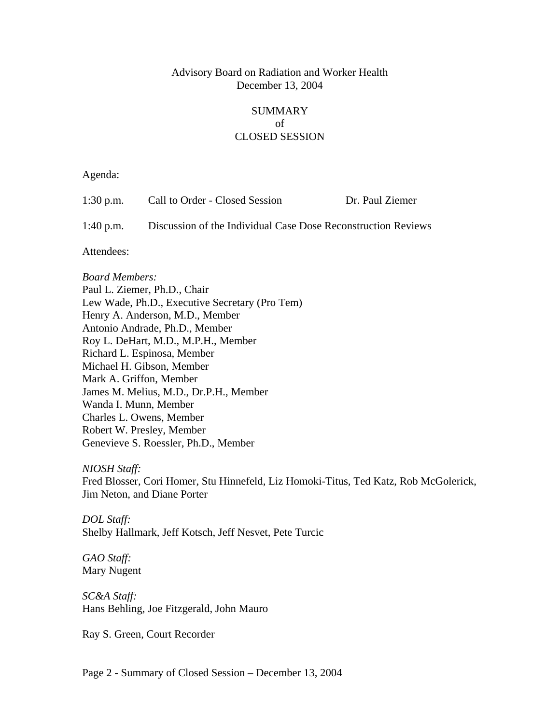## Advisory Board on Radiation and Worker Health December 13, 2004

## SUMMARY of CLOSED SESSION

Agenda:

| 1:30 p.m.   | Call to Order - Closed Session                                | Dr. Paul Ziemer |
|-------------|---------------------------------------------------------------|-----------------|
| $1:40$ p.m. | Discussion of the Individual Case Dose Reconstruction Reviews |                 |
| Attendees:  |                                                               |                 |

*Board Members:* Paul L. Ziemer, Ph.D., Chair Lew Wade, Ph.D., Executive Secretary (Pro Tem) Henry A. Anderson, M.D., Member Antonio Andrade, Ph.D., Member Roy L. DeHart, M.D., M.P.H., Member Richard L. Espinosa, Member Michael H. Gibson, Member Mark A. Griffon, Member James M. Melius, M.D., Dr.P.H., Member Wanda I. Munn, Member Charles L. Owens, Member Robert W. Presley, Member Genevieve S. Roessler, Ph.D., Member

*NIOSH Staff:*

Fred Blosser, Cori Homer, Stu Hinnefeld, Liz Homoki-Titus, Ted Katz, Rob McGolerick, Jim Neton, and Diane Porter

*DOL Staff:*  Shelby Hallmark, Jeff Kotsch, Jeff Nesvet, Pete Turcic

*GAO Staff:*  Mary Nugent

*SC&A Staff:*  Hans Behling, Joe Fitzgerald, John Mauro

Ray S. Green, Court Recorder

Page 2 - Summary of Closed Session – December 13, 2004